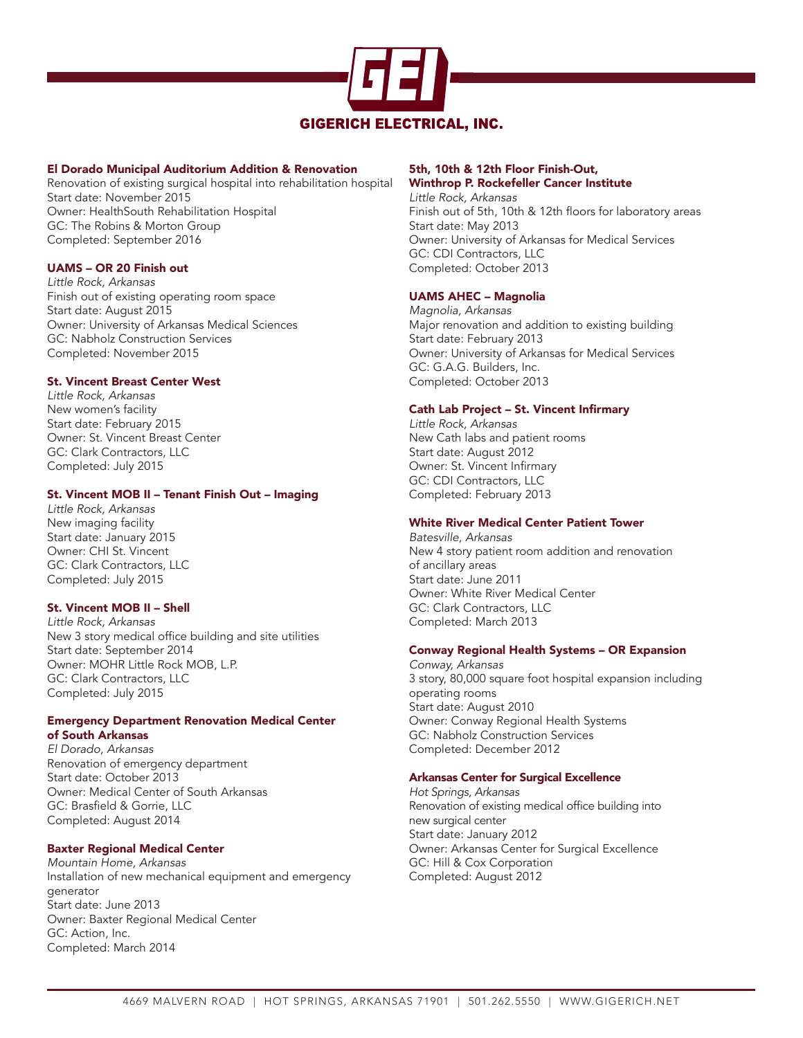

### El Dorado Municipal Auditorium Addition & Renovation

Renovation of existing surgical hospital into rehabilitation hospital Start date: November 2015 Owner: HealthSouth Rehabilitation Hospital GC: The Robins & Morton Group Completed: September 2016

#### UAMS – OR 20 Finish out

*Little Rock, Arkansas* Finish out of existing operating room space Start date: August 2015 Owner: University of Arkansas Medical Sciences GC: Nabholz Construction Services Completed: November 2015

### St. Vincent Breast Center West

*Little Rock, Arkansas* New women's facility Start date: February 2015 Owner: St. Vincent Breast Center GC: Clark Contractors, LLC Completed: July 2015

#### St. Vincent MOB II – Tenant Finish Out – Imaging

*Little Rock, Arkansas* New imaging facility Start date: January 2015 Owner: CHI St. Vincent GC: Clark Contractors, LLC Completed: July 2015

#### St. Vincent MOB II – Shell

*Little Rock, Arkansas* New 3 story medical office building and site utilities Start date: September 2014 Owner: MOHR Little Rock MOB, L.P. GC: Clark Contractors, LLC Completed: July 2015

#### Emergency Department Renovation Medical Center of South Arkansas

*El Dorado, Arkansas* Renovation of emergency department Start date: October 2013 Owner: Medical Center of South Arkansas GC: Brasfield & Gorrie, LLC Completed: August 2014

#### Baxter Regional Medical Center

*Mountain Home, Arkansas* Installation of new mechanical equipment and emergency generator Start date: June 2013 Owner: Baxter Regional Medical Center GC: Action, Inc. Completed: March 2014

#### 5th, 10th & 12th Floor Finish-Out, Winthrop P. Rockefeller Cancer Institute

*Little Rock, Arkansas* Finish out of 5th, 10th & 12th floors for laboratory areas Start date: May 2013 Owner: University of Arkansas for Medical Services GC: CDI Contractors, LLC Completed: October 2013

#### UAMS AHEC – Magnolia

*Magnolia, Arkansas* Major renovation and addition to existing building Start date: February 2013 Owner: University of Arkansas for Medical Services GC: G.A.G. Builders, Inc. Completed: October 2013

### Cath Lab Project – St. Vincent Infirmary

*Little Rock, Arkansas* New Cath labs and patient rooms Start date: August 2012 Owner: St. Vincent Infirmary GC: CDI Contractors, LLC Completed: February 2013

# White River Medical Center Patient Tower

*Batesville, Arkansas* New 4 story patient room addition and renovation of ancillary areas Start date: June 2011 Owner: White River Medical Center GC: Clark Contractors, LLC Completed: March 2013

#### Conway Regional Health Systems – OR Expansion

*Conway, Arkansas* 3 story, 80,000 square foot hospital expansion including operating rooms Start date: August 2010 Owner: Conway Regional Health Systems GC: Nabholz Construction Services Completed: December 2012

#### Arkansas Center for Surgical Excellence

*Hot Springs, Arkansas* Renovation of existing medical office building into new surgical center Start date: January 2012 Owner: Arkansas Center for Surgical Excellence GC: Hill & Cox Corporation Completed: August 2012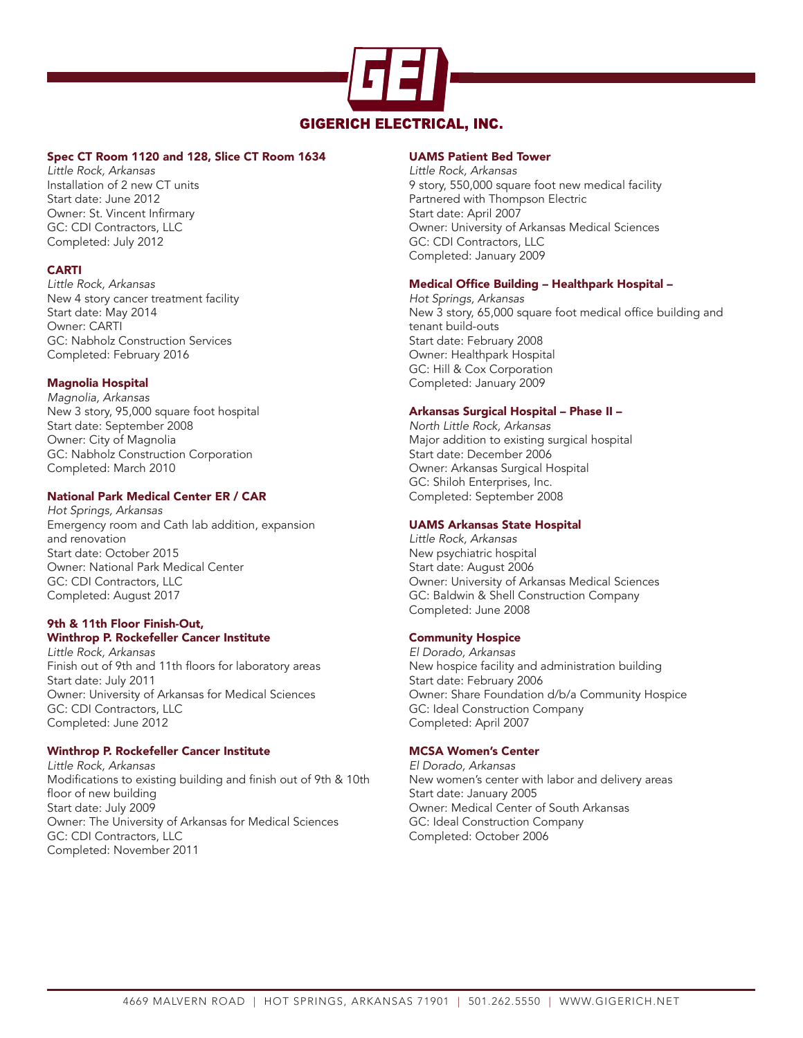

### Spec CT Room 1120 and 128, Slice CT Room 1634

*Little Rock, Arkansas* Installation of 2 new CT units Start date: June 2012 Owner: St. Vincent Infirmary GC: CDI Contractors, LLC Completed: July 2012

## CARTI

*Little Rock, Arkansas* New 4 story cancer treatment facility Start date: May 2014 Owner: CARTI GC: Nabholz Construction Services Completed: February 2016

### Magnolia Hospital

*Magnolia, Arkansas* New 3 story, 95,000 square foot hospital Start date: September 2008 Owner: City of Magnolia GC: Nabholz Construction Corporation Completed: March 2010

### National Park Medical Center ER / CAR

*Hot Springs, Arkansas* Emergency room and Cath lab addition, expansion and renovation Start date: October 2015 Owner: National Park Medical Center GC: CDI Contractors, LLC Completed: August 2017

#### 9th & 11th Floor Finish-Out, Winthrop P. Rockefeller Cancer Institute

*Little Rock, Arkansas* Finish out of 9th and 11th floors for laboratory areas Start date: July 2011 Owner: University of Arkansas for Medical Sciences GC: CDI Contractors, LLC Completed: June 2012

#### Winthrop P. Rockefeller Cancer Institute

*Little Rock, Arkansas* Modifications to existing building and finish out of 9th & 10th floor of new building Start date: July 2009 Owner: The University of Arkansas for Medical Sciences GC: CDI Contractors, LLC Completed: November 2011

#### UAMS Patient Bed Tower

*Little Rock, Arkansas* 9 story, 550,000 square foot new medical facility Partnered with Thompson Electric Start date: April 2007 Owner: University of Arkansas Medical Sciences GC: CDI Contractors, LLC Completed: January 2009

### Medical Office Building – Healthpark Hospital –

*Hot Springs, Arkansas* New 3 story, 65,000 square foot medical office building and tenant build-outs Start date: February 2008 Owner: Healthpark Hospital GC: Hill & Cox Corporation Completed: January 2009

### Arkansas Surgical Hospital – Phase II –

*North Little Rock, Arkansas* Major addition to existing surgical hospital Start date: December 2006 Owner: Arkansas Surgical Hospital GC: Shiloh Enterprises, Inc. Completed: September 2008

### UAMS Arkansas State Hospital

*Little Rock, Arkansas* New psychiatric hospital Start date: August 2006 Owner: University of Arkansas Medical Sciences GC: Baldwin & Shell Construction Company Completed: June 2008

## Community Hospice

*El Dorado, Arkansas* New hospice facility and administration building Start date: February 2006 Owner: Share Foundation d/b/a Community Hospice GC: Ideal Construction Company Completed: April 2007

## MCSA Women's Center

*El Dorado, Arkansas* New women's center with labor and delivery areas Start date: January 2005 Owner: Medical Center of South Arkansas GC: Ideal Construction Company Completed: October 2006